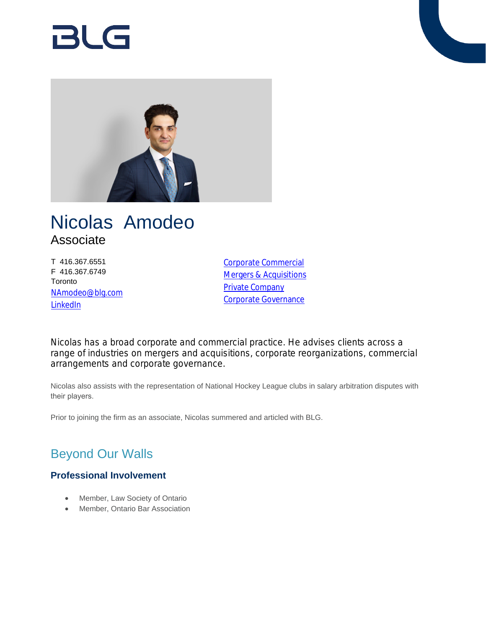# RI G



# Nicolas Amodeo Associate

T 416.367.6551 F 416.367.6749 Toronto [NAmodeo@blg.com](mailto:NAmodeo@blg.com) **[LinkedIn](https://www.linkedin.com/in/nicolas-amodeo-309003127/)** 

[Corporate Commercial](https://www.blg.com/en/services/practice-areas/corporate-commercial) [Mergers & Acquisitions](https://www.blg.com/en/services/practice-areas/mergers-,-a-,-acquisitions) [Private Company](https://www.blg.com/en/services/practice-areas/corporate-commercial/private-company) [Corporate Governance](https://www.blg.com/en/services/practice-areas/corporate-commercial/corporate-governance)

Nicolas has a broad corporate and commercial practice. He advises clients across a range of industries on mergers and acquisitions, corporate reorganizations, commercial arrangements and corporate governance.

Nicolas also assists with the representation of National Hockey League clubs in salary arbitration disputes with their players.

Prior to joining the firm as an associate, Nicolas summered and articled with BLG.

## Beyond Our Walls

### **Professional Involvement**

- Member, Law Society of Ontario
- Member, Ontario Bar Association